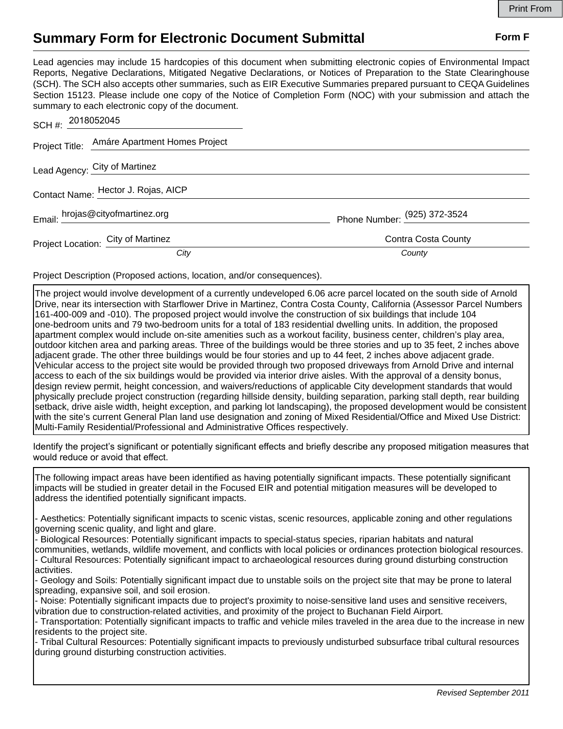## **Summary Form for Electronic Document Submittal Form F Form F**

Lead agencies may include 15 hardcopies of this document when submitting electronic copies of Environmental Impact Reports, Negative Declarations, Mitigated Negative Declarations, or Notices of Preparation to the State Clearinghouse (SCH). The SCH also accepts other summaries, such as EIR Executive Summaries prepared pursuant to CEQA Guidelines Section 15123. Please include one copy of the Notice of Completion Form (NOC) with your submission and attach the summary to each electronic copy of the document.

| SCH #: 2018052045                   |                                              |                              |
|-------------------------------------|----------------------------------------------|------------------------------|
|                                     | Project Title: Amáre Apartment Homes Project |                              |
| Lead Agency: City of Martinez       |                                              |                              |
| Contact Name: Hector J. Rojas, AICP |                                              |                              |
| Email: hrojas@cityofmartinez.org    |                                              | Phone Number: (925) 372-3524 |
| Project Location: City of Martinez  |                                              | Contra Costa County          |
|                                     | City                                         | County                       |

Project Description (Proposed actions, location, and/or consequences).

The project would involve development of a currently undeveloped 6.06 acre parcel located on the south side of Arnold Drive, near its intersection with Starflower Drive in Martinez, Contra Costa County, California (Assessor Parcel Numbers 161-400-009 and -010). The proposed project would involve the construction of six buildings that include 104 one-bedroom units and 79 two-bedroom units for a total of 183 residential dwelling units. In addition, the proposed apartment complex would include on-site amenities such as a workout facility, business center, children's play area, outdoor kitchen area and parking areas. Three of the buildings would be three stories and up to 35 feet, 2 inches above adjacent grade. The other three buildings would be four stories and up to 44 feet, 2 inches above adjacent grade. Vehicular access to the project site would be provided through two proposed driveways from Arnold Drive and internal access to each of the six buildings would be provided via interior drive aisles. With the approval of a density bonus, design review permit, height concession, and waivers/reductions of applicable City development standards that would physically preclude project construction (regarding hillside density, building separation, parking stall depth, rear building setback, drive aisle width, height exception, and parking lot landscaping), the proposed development would be consistent with the site's current General Plan land use designation and zoning of Mixed Residential/Office and Mixed Use District: Multi-Family Residential/Professional and Administrative Offices respectively.

Identify the project's significant or potentially significant effects and briefly describe any proposed mitigation measures that would reduce or avoid that effect.

The following impact areas have been identified as having potentially significant impacts. These potentially significant impacts will be studied in greater detail in the Focused EIR and potential mitigation measures will be developed to address the identified potentially significant impacts.

- Aesthetics: Potentially significant impacts to scenic vistas, scenic resources, applicable zoning and other regulations governing scenic quality, and light and glare.

- Biological Resources: Potentially significant impacts to special-status species, riparian habitats and natural communities, wetlands, wildlife movement, and conflicts with local policies or ordinances protection biological resources. - Cultural Resources: Potentially significant impact to archaeological resources during ground disturbing construction activities.

- Geology and Soils: Potentially significant impact due to unstable soils on the project site that may be prone to lateral spreading, expansive soil, and soil erosion.

- Noise: Potentially significant impacts due to project's proximity to noise-sensitive land uses and sensitive receivers, vibration due to construction-related activities, and proximity of the project to Buchanan Field Airport.

- Transportation: Potentially significant impacts to traffic and vehicle miles traveled in the area due to the increase in new residents to the project site.

- Tribal Cultural Resources: Potentially significant impacts to previously undisturbed subsurface tribal cultural resources during ground disturbing construction activities.